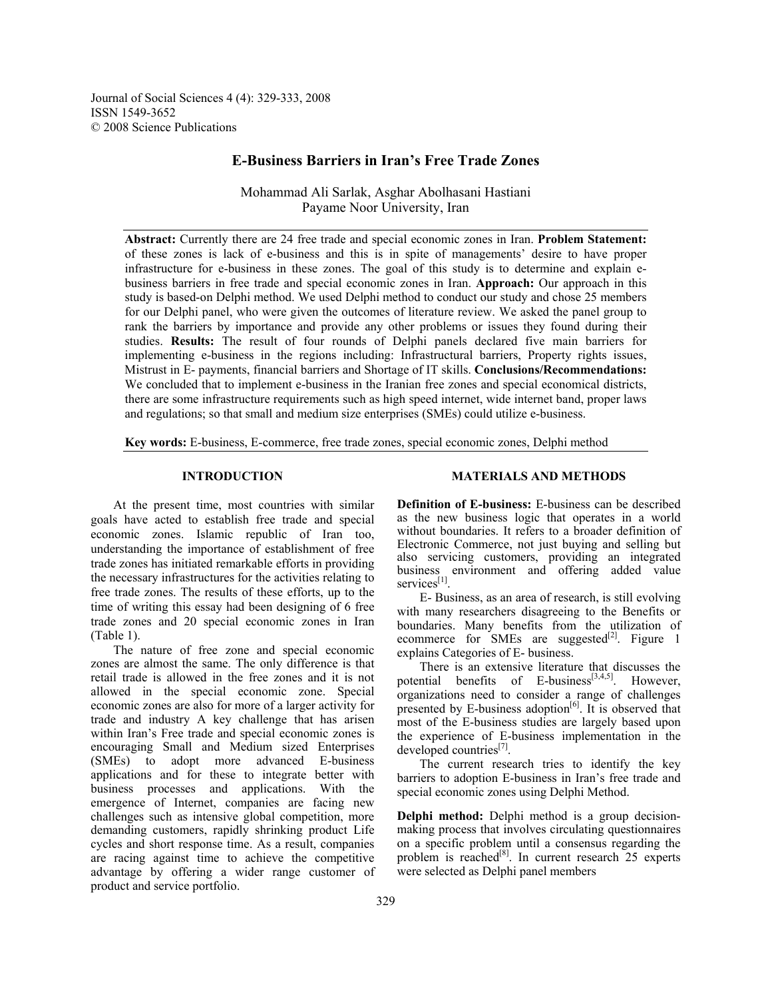Journal of Social Sciences 4 (4): 329-333, 2008 ISSN 1549-3652 © 2008 Science Publications

# **E-Business Barriers in Iran's Free Trade Zones**

Mohammad Ali Sarlak, Asghar Abolhasani Hastiani Payame Noor University, Iran

**Abstract:** Currently there are 24 free trade and special economic zones in Iran. **Problem Statement:** of these zones is lack of e-business and this is in spite of managements' desire to have proper infrastructure for e-business in these zones. The goal of this study is to determine and explain ebusiness barriers in free trade and special economic zones in Iran. **Approach:** Our approach in this study is based-on Delphi method. We used Delphi method to conduct our study and chose 25 members for our Delphi panel, who were given the outcomes of literature review. We asked the panel group to rank the barriers by importance and provide any other problems or issues they found during their studies. **Results:** The result of four rounds of Delphi panels declared five main barriers for implementing e-business in the regions including: Infrastructural barriers, Property rights issues, Mistrust in E- payments, financial barriers and Shortage of IT skills. **Conclusions/Recommendations:**  We concluded that to implement e-business in the Iranian free zones and special economical districts, there are some infrastructure requirements such as high speed internet, wide internet band, proper laws and regulations; so that small and medium size enterprises (SMEs) could utilize e-business.

**Key words:** E-business, E-commerce, free trade zones, special economic zones, Delphi method

## **INTRODUCTION**

 At the present time, most countries with similar goals have acted to establish free trade and special economic zones. Islamic republic of Iran too, understanding the importance of establishment of free trade zones has initiated remarkable efforts in providing the necessary infrastructures for the activities relating to free trade zones. The results of these efforts, up to the time of writing this essay had been designing of 6 free trade zones and 20 special economic zones in Iran (Table 1).

 The nature of free zone and special economic zones are almost the same. The only difference is that retail trade is allowed in the free zones and it is not allowed in the special economic zone. Special economic zones are also for more of a larger activity for trade and industry A key challenge that has arisen within Iran's Free trade and special economic zones is encouraging Small and Medium sized Enterprises (SMEs) to adopt more advanced E-business applications and for these to integrate better with business processes and applications. With the emergence of Internet, companies are facing new challenges such as intensive global competition, more demanding customers, rapidly shrinking product Life cycles and short response time. As a result, companies are racing against time to achieve the competitive advantage by offering a wider range customer of product and service portfolio.

#### **MATERIALS AND METHODS**

**Definition of E-business:** E-business can be described as the new business logic that operates in a world without boundaries. It refers to a broader definition of Electronic Commerce, not just buying and selling but also servicing customers, providing an integrated business environment and offering added value services<sup>[1]</sup>

 E- Business, as an area of research, is still evolving with many researchers disagreeing to the Benefits or boundaries. Many benefits from the utilization of ecommerce for SMEs are suggested $[2]$ . Figure 1 explains Categories of E- business.

 There is an extensive literature that discusses the potential benefits of E-business $[3,4,5]$ . However, organizations need to consider a range of challenges presented by E-business adoption<sup>[6]</sup>. It is observed that most of the E-business studies are largely based upon the experience of E-business implementation in the developed countries $^{[7]}$ .

 The current research tries to identify the key barriers to adoption E-business in Iran's free trade and special economic zones using Delphi Method.

**Delphi method:** Delphi method is a group decisionmaking process that involves circulating questionnaires on a specific problem until a consensus regarding the problem is reached<sup>[8]</sup>. In current research  $25$  experts were selected as Delphi panel members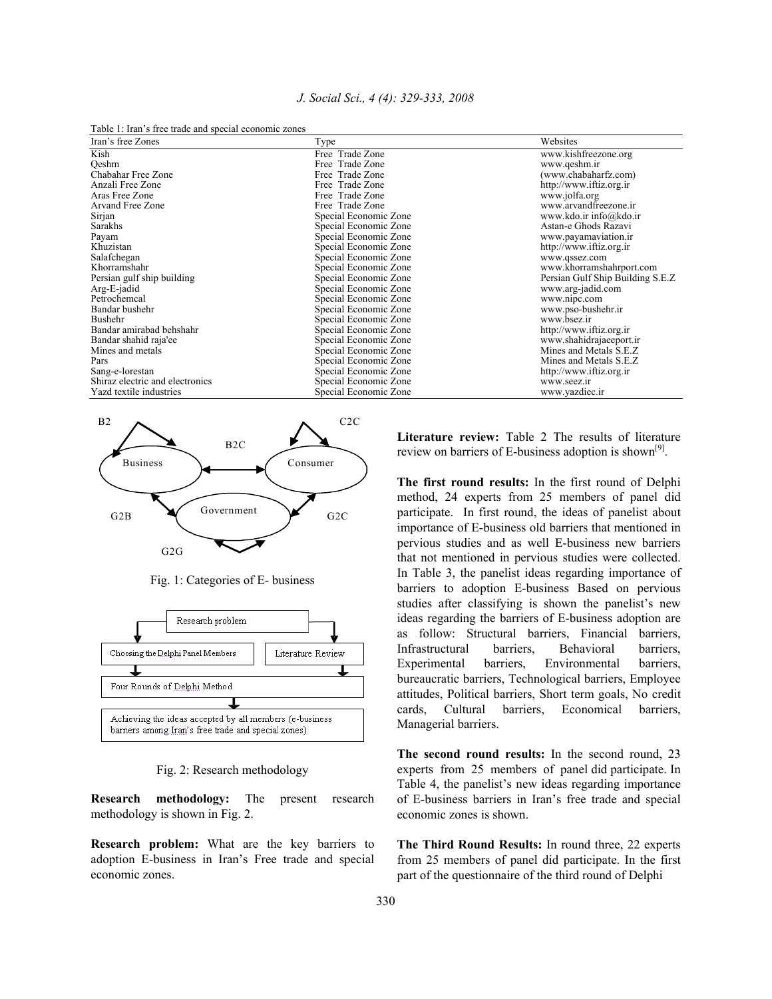| J. Social Sci., 4 (4): 329-333, 2008 |  |  |  |  |  |  |  |
|--------------------------------------|--|--|--|--|--|--|--|
|--------------------------------------|--|--|--|--|--|--|--|

Table 1: Iran's free trade and special economic zones

| Iran's free Zones               | Type                  | Websites                          |
|---------------------------------|-----------------------|-----------------------------------|
| Kish                            | Free Trade Zone       | www.kishfreezone.org              |
| Oeshm                           | Free Trade Zone       | www.qeshm.ir                      |
| Chabahar Free Zone              | Free Trade Zone       | (www.chabaharfz.com)              |
| Anzali Free Zone                | Free Trade Zone       | http://www.iftiz.org.ir           |
| Aras Free Zone                  | Free Trade Zone       | www.jolfa.org                     |
| Arvand Free Zone                | Free Trade Zone       | www.arvandfreezone.ir             |
| Sirjan                          | Special Economic Zone | www.kdo.ir info@kdo.ir            |
| Sarakhs                         | Special Economic Zone | Astan-e Ghods Razavi              |
| Payam                           | Special Economic Zone | www.payamaviation.ir              |
| Khuzistan                       | Special Economic Zone | http://www.iftiz.org.ir           |
| Salafchegan                     | Special Economic Zone | www.qssez.com                     |
| Khorramshahr                    | Special Economic Zone | www.khorramshahrport.com          |
| Persian gulf ship building      | Special Economic Zone | Persian Gulf Ship Building S.E.Z. |
| Arg-E-jadid                     | Special Economic Zone | www.arg-jadid.com                 |
| Petrochemcal                    | Special Economic Zone | www.nipc.com                      |
| Bandar bushehr                  | Special Economic Zone | www.pso-bushehr.ir                |
| Bushehr                         | Special Economic Zone | www.bsez.ir                       |
| Bandar amirabad behshahr        | Special Economic Zone | http://www.iftiz.org.ir           |
| Bandar shahid raja'ee           | Special Economic Zone | www.shahidrajaeeport.ir           |
| Mines and metals                | Special Economic Zone | Mines and Metals S.E.Z            |
| Pars                            | Special Economic Zone | Mines and Metals S.E.Z            |
| Sang-e-lorestan                 | Special Economic Zone | http://www.iftiz.org.ir           |
| Shiraz electric and electronics | Special Economic Zone | www.seez.ir                       |
| Yazd textile industries         | Special Economic Zone | www.yazdiec.ir                    |



Fig. 1: Categories of E- business



Fig. 2: Research methodology

**Research methodology:** The present research methodology is shown in Fig. 2.

**Research problem:** What are the key barriers to adoption E-business in Iran's Free trade and special economic zones.

**Literature review:** Table 2 The results of literature review on barriers of E-business adoption is shown<sup>[9]</sup>.

**The first round results:** In the first round of Delphi method, 24 experts from 25 members of panel did participate. In first round, the ideas of panelist about importance of E-business old barriers that mentioned in pervious studies and as well E-business new barriers that not mentioned in pervious studies were collected. In Table 3, the panelist ideas regarding importance of barriers to adoption E-business Based on pervious studies after classifying is shown the panelist's new ideas regarding the barriers of E-business adoption are as follow: Structural barriers, Financial barriers, Infrastructural barriers, Behavioral barriers, Experimental barriers, Environmental barriers, bureaucratic barriers, Technological barriers, Employee attitudes, Political barriers, Short term goals, No credit cards, Cultural barriers, Economical barriers, Managerial barriers.

**The second round results:** In the second round, 23 experts from 25 members of panel did participate. In Table 4, the panelist's new ideas regarding importance of E-business barriers in Iran's free trade and special economic zones is shown.

**The Third Round Results:** In round three, 22 experts from 25 members of panel did participate. In the first part of the questionnaire of the third round of Delphi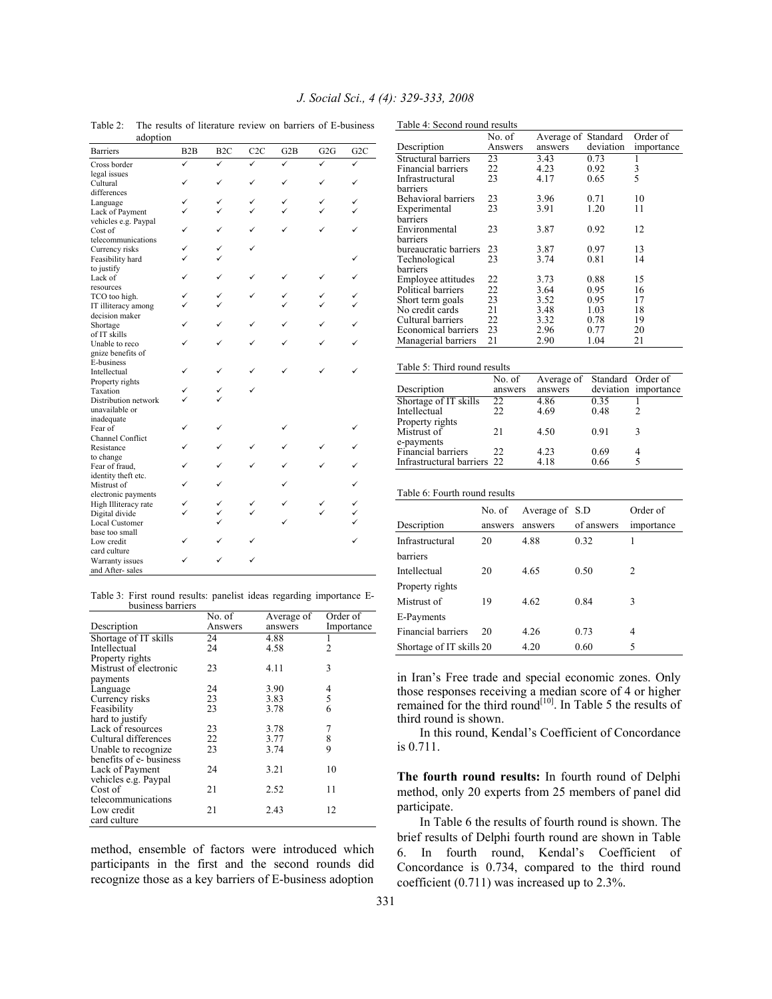| auopuon                 |     |                  |                  |              |              |                  |
|-------------------------|-----|------------------|------------------|--------------|--------------|------------------|
| <b>Barriers</b>         | B2B | B <sub>2</sub> C | C <sub>2</sub> C | G2B          | G2G          | G <sub>2</sub> C |
| Cross border            | ✓   | ✓                |                  | $\checkmark$ | $\checkmark$ |                  |
| legal issues            |     |                  |                  |              |              |                  |
| Cultural                | ✓   | ✓                |                  |              | ✓            |                  |
| differences             |     |                  |                  |              |              |                  |
| Language                | ✓   | ✓                | ✓                |              | ✓            |                  |
| Lack of Payment         | ✓   |                  |                  |              |              |                  |
| vehicles e.g. Paypal    |     |                  |                  |              |              |                  |
| Cost of                 | ✓   | ✓                | ✓                |              |              |                  |
| telecommunications      |     |                  |                  |              |              |                  |
| Currency risks          |     |                  |                  |              |              |                  |
| Feasibility hard        |     |                  |                  |              |              |                  |
|                         |     |                  |                  |              |              |                  |
| to justify              | ✓   | ✓                |                  |              | ✓            |                  |
| Lack of                 |     |                  |                  |              |              |                  |
| resources               |     |                  |                  |              |              |                  |
| TCO too high.           | ✓   | ✓                |                  |              | ✓            |                  |
| IT illiteracy among     | ✓   |                  |                  |              |              |                  |
| decision maker          |     |                  |                  |              |              |                  |
| Shortage                | ✓   | ✓                |                  |              |              |                  |
| of IT skills            |     |                  |                  |              |              |                  |
| Unable to reco          |     | ✓                |                  |              |              |                  |
| gnize benefits of       |     |                  |                  |              |              |                  |
| E-business              |     |                  |                  |              |              |                  |
| Intellectual            | ✓   |                  |                  |              |              |                  |
| Property rights         |     |                  |                  |              |              |                  |
| Taxation                | ✓   |                  |                  |              |              |                  |
| Distribution network    | ✓   |                  |                  |              |              |                  |
| unavailable or          |     |                  |                  |              |              |                  |
| inadequate              |     |                  |                  |              |              |                  |
| Fear of                 | ✓   | ✓                |                  |              |              |                  |
| <b>Channel Conflict</b> |     |                  |                  |              |              |                  |
| Resistance              | ✓   | ✓                |                  |              |              |                  |
| to change               |     |                  |                  |              |              |                  |
| Fear of fraud,          | ✓   | ✓                |                  |              |              |                  |
| identity theft etc.     |     |                  |                  |              |              |                  |
| Mistrust of             |     |                  |                  |              |              |                  |
| electronic payments     |     |                  |                  |              |              |                  |
| High Illiteracy rate    |     | ✓                |                  |              |              |                  |
|                         |     |                  |                  |              |              |                  |
| Digital divide          |     |                  |                  |              |              |                  |
| <b>Local Customer</b>   |     |                  |                  |              |              |                  |
| base too small          |     |                  |                  |              |              |                  |
| Low credit              |     |                  |                  |              |              |                  |
| card culture            |     |                  |                  |              |              |                  |
| Warranty issues         |     |                  |                  |              |              |                  |
| and After-sales         |     |                  |                  |              |              |                  |

Table 2: The results of literature review on barriers of E-business adoption

Table 4: Second round results

|                       | No. of  | Average of Standard |           | Order of      |
|-----------------------|---------|---------------------|-----------|---------------|
| Description           | Answers | answers             | deviation | importance    |
| Structural barriers   | 23      | 3.43                | 0.73      |               |
| Financial barriers    | 22      | 4.23                | 0.92      | $\frac{3}{5}$ |
| Infrastructural       | 23      | 4.17                | 0.65      |               |
| barriers              |         |                     |           |               |
| Behavioral barriers   | 23      | 3.96                | 0.71      | 10            |
| Experimental          | 23      | 3.91                | 1.20      | 11            |
| barriers              |         |                     |           |               |
| Environmental         | 23      | 3.87                | 0.92      | 12            |
| barriers              |         |                     |           |               |
| bureaucratic barriers | 23      | 3.87                | 0.97      | 13            |
| Technological         | 23      | 3.74                | 0.81      | 14            |
| barriers              |         |                     |           |               |
| Employee attitudes    | 22      | 3.73                | 0.88      | 15            |
| Political barriers    | 22      | 3.64                | 0.95      | 16            |
| Short term goals      | 23      | 3.52                | 0.95      | 17            |
| No credit cards       | 21      | 3.48                | 1.03      | 18            |
| Cultural barriers     | 22      | 3.32                | 0.78      | 19            |
| Economical barriers   | 23      | 2.96                | 0.77      | 20            |
| Managerial barriers   | 21      | 2.90                | 1.04      | 21            |
|                       |         |                     |           |               |
|                       |         |                     |           |               |

|  | Table 5: Third round results |  |  |  |  |
|--|------------------------------|--|--|--|--|
|--|------------------------------|--|--|--|--|

|                             | No. of  | Average of Standard Order of |      |                      |
|-----------------------------|---------|------------------------------|------|----------------------|
| Description                 | answers | answers                      |      | deviation importance |
| Shortage of IT skills       | 22      | 4.86                         | 0.35 |                      |
| Intellectual                | 22.     | 4.69                         | 0.48 |                      |
| Property rights             |         |                              |      |                      |
| Mistrust of                 | 21      | 4.50                         | 0.91 |                      |
| e-payments                  |         |                              |      |                      |
| Financial barriers          | 22.     | 4.23                         | 0.69 |                      |
| Infrastructural barriers 22 |         | 4.18                         | 0.66 |                      |

Table 6: Fourth round results

|                           | No. of  | Average of S.D |            | Order of   |
|---------------------------|---------|----------------|------------|------------|
| Description               | answers | answers        | of answers | importance |
| Infrastructural           | 20      | 4.88           | 0.32       | 1          |
| barriers                  |         |                |            |            |
| Intellectual              | 20      | 4.65           | 0.50       | 2          |
| Property rights           |         |                |            |            |
| Mistrust of               | 19      | 4.62           | 0.84       | 3          |
| E-Payments                |         |                |            |            |
| <b>Financial barriers</b> | 20      | 4.26           | 0.73       | 4          |
| Shortage of IT skills 20  |         | 4.20           | 0.60       | 5          |

in Iran's Free trade and special economic zones. Only those responses receiving a median score of 4 or higher remained for the third round<sup>[10]</sup>. In Table 5 the results of third round is shown.

 In this round, Kendal's Coefficient of Concordance is 0.711.

**The fourth round results:** In fourth round of Delphi method, only 20 experts from 25 members of panel did participate.

 In Table 6 the results of fourth round is shown. The brief results of Delphi fourth round are shown in Table 6. In fourth round, Kendal's Coefficient of Concordance is 0.734, compared to the third round coefficient (0.711) was increased up to 2.3%.

| Table 3: First round results: panelist ideas regarding importance E- |  |  |  |  |
|----------------------------------------------------------------------|--|--|--|--|
| business barriers                                                    |  |  |  |  |
|                                                                      |  |  |  |  |

|                         | No. of  | Average of | Order of   |
|-------------------------|---------|------------|------------|
| Description             | Answers | answers    | Importance |
| Shortage of IT skills   | 24      | 4.88       |            |
| Intellectual            | 24      | 4.58       | 2          |
| Property rights         |         |            |            |
| Mistrust of electronic  | 23      | 4.11       | 3          |
| payments                |         |            |            |
| Language                | 24      | 3.90       | 4          |
| Currency risks          | 23      | 3.83       | 5          |
| Feasibility             | 23      | 3.78       | 6          |
| hard to justify         |         |            |            |
| Lack of resources       | 23      | 3.78       | 7          |
| Cultural differences    | 22      | 3.77       | 8          |
| Unable to recognize     | 23      | 3.74       | 9          |
| benefits of e- business |         |            |            |
| Lack of Payment         | 24      | 3.21       | 10         |
| vehicles e.g. Paypal    |         |            |            |
| Cost of                 | 21      | 2.52       | 11         |
| telecommunications      |         |            |            |
| Low credit              | 21      | 2.43       | 12         |
| card culture            |         |            |            |

method, ensemble of factors were introduced which participants in the first and the second rounds did recognize those as a key barriers of E-business adoption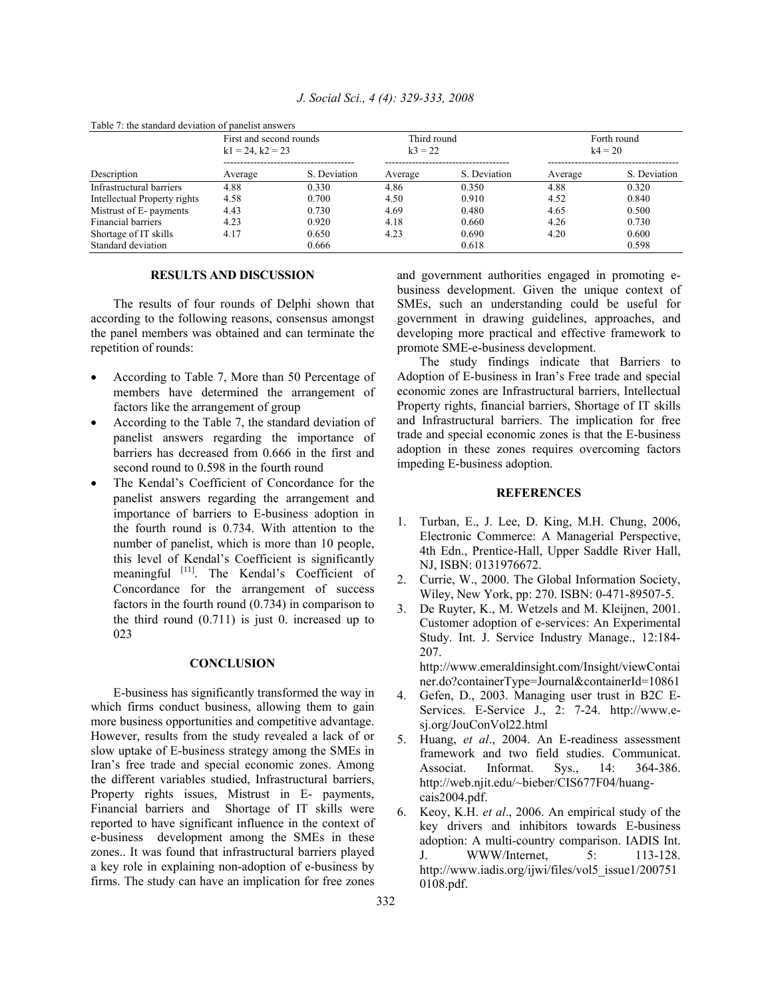| Table 7: the standard deviation of panelist answers |                                               |              |                          |              |                          |              |  |  |
|-----------------------------------------------------|-----------------------------------------------|--------------|--------------------------|--------------|--------------------------|--------------|--|--|
|                                                     | First and second rounds<br>$k1 = 24, k2 = 23$ |              | Third round<br>$k3 = 22$ |              | Forth round<br>$k4 = 20$ |              |  |  |
| Description                                         | Average                                       | S. Deviation | Average                  | S. Deviation | Average                  | S. Deviation |  |  |
| Infrastructural barriers                            | 4.88                                          | 0.330        | 4.86                     | 0.350        | 4.88                     | 0.320        |  |  |
| Intellectual Property rights                        | 4.58                                          | 0.700        | 4.50                     | 0.910        | 4.52                     | 0.840        |  |  |
| Mistrust of E- payments                             | 4.43                                          | 0.730        | 4.69                     | 0.480        | 4.65                     | 0.500        |  |  |
| Financial barriers                                  | 4.23                                          | 0.920        | 4.18                     | 0.660        | 4.26                     | 0.730        |  |  |
| Shortage of IT skills                               | 4.17                                          | 0.650        | 4.23                     | 0.690        | 4.20                     | 0.600        |  |  |
| Standard deviation                                  |                                               | 0.666        |                          | 0.618        |                          | 0.598        |  |  |

*J. Social Sci., 4 (4): 329-333, 2008* 

## **RESULTS AND DISCUSSION**

 The results of four rounds of Delphi shown that according to the following reasons, consensus amongst the panel members was obtained and can terminate the repetition of rounds:

- According to Table 7, More than 50 Percentage of members have determined the arrangement of factors like the arrangement of group
- According to the Table 7, the standard deviation of panelist answers regarding the importance of barriers has decreased from 0.666 in the first and second round to 0.598 in the fourth round
- The Kendal's Coefficient of Concordance for the panelist answers regarding the arrangement and importance of barriers to E-business adoption in the fourth round is 0.734. With attention to the number of panelist, which is more than 10 people, this level of Kendal's Coefficient is significantly meaningful [11]. The Kendal's Coefficient of Concordance for the arrangement of success factors in the fourth round (0.734) in comparison to the third round  $(0.711)$  is just 0. increased up to 023

## **CONCLUSION**

 E-business has significantly transformed the way in which firms conduct business, allowing them to gain more business opportunities and competitive advantage. However, results from the study revealed a lack of or slow uptake of E-business strategy among the SMEs in Iran's free trade and special economic zones. Among the different variables studied, Infrastructural barriers, Property rights issues, Mistrust in E- payments, Financial barriers and Shortage of IT skills were reported to have significant influence in the context of e-business development among the SMEs in these zones.. It was found that infrastructural barriers played a key role in explaining non-adoption of e-business by firms. The study can have an implication for free zones

and government authorities engaged in promoting ebusiness development. Given the unique context of SMEs, such an understanding could be useful for government in drawing guidelines, approaches, and developing more practical and effective framework to promote SME-e-business development.

 The study findings indicate that Barriers to Adoption of E-business in Iran's Free trade and special economic zones are Infrastructural barriers, Intellectual Property rights, financial barriers, Shortage of IT skills and Infrastructural barriers. The implication for free trade and special economic zones is that the E-business adoption in these zones requires overcoming factors impeding E-business adoption.

## **REFERENCES**

- 1. Turban, E., J. Lee, D. King, M.H. Chung, 2006, Electronic Commerce: A Managerial Perspective, 4th Edn., Prentice-Hall, Upper Saddle River Hall, NJ, ISBN: 0131976672.
- 2. Currie, W., 2000. The Global Information Society, Wiley, New York, pp: 270. ISBN: 0-471-89507-5.
- 3. De Ruyter, K., M. Wetzels and M. Kleijnen, 2001. Customer adoption of e-services: An Experimental Study. Int. J. Service Industry Manage., 12:184- 207.

http://www.emeraldinsight.com/Insight/viewContai ner.do?containerType=Journal&containerId=10861

- 4. Gefen, D., 2003. Managing user trust in B2C E-Services. E-Service J., 2: 7-24. http://www.esj.org/JouConVol22.html
- 5. Huang, *et al*., 2004. An E-readiness assessment framework and two field studies. Communicat. Associat. Informat. Sys., 14: 364-386. http://web.njit.edu/~bieber/CIS677F04/huangcais2004.pdf.
- 6. Keoy, K.H. *et al*., 2006. An empirical study of the key drivers and inhibitors towards E-business adoption: A multi-country comparison. IADIS Int. J. WWW/Internet, 5: 113-128. http://www.iadis.org/ijwi/files/vol5\_issue1/200751 0108.pdf.